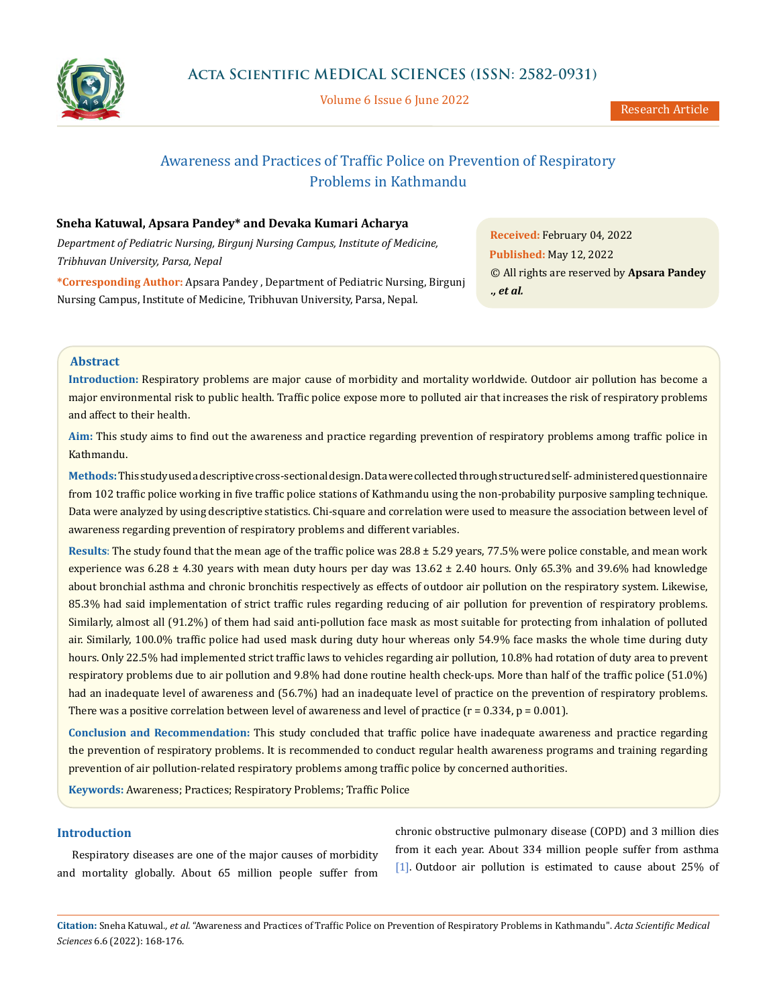

Volume 6 Issue 6 June 2022

# Awareness and Practices of Traffic Police on Prevention of Respiratory Problems in Kathmandu

# **Sneha Katuwal, Apsara Pandey\* and Devaka Kumari Acharya**

*Department of Pediatric Nursing, Birgunj Nursing Campus, Institute of Medicine, Tribhuvan University, Parsa, Nepal*

**\*Corresponding Author:** Apsara Pandey , Department of Pediatric Nursing, Birgunj Nursing Campus, Institute of Medicine, Tribhuvan University, Parsa, Nepal.

**Received:** February 04, 2022 **Published:** May 12, 2022 © All rights are reserved by **Apsara Pandey**  *., et al.*

### **Abstract**

**Introduction:** Respiratory problems are major cause of morbidity and mortality worldwide. Outdoor air pollution has become a major environmental risk to public health. Traffic police expose more to polluted air that increases the risk of respiratory problems and affect to their health.

**Aim:** This study aims to find out the awareness and practice regarding prevention of respiratory problems among traffic police in Kathmandu.

**Methods:**This study used a descriptive cross-sectional design. Data were collected through structured self- administered questionnaire from 102 traffic police working in five traffic police stations of Kathmandu using the non-probability purposive sampling technique. Data were analyzed by using descriptive statistics. Chi-square and correlation were used to measure the association between level of awareness regarding prevention of respiratory problems and different variables.

**Results**: The study found that the mean age of the traffic police was 28.8 ± 5.29 years, 77.5% were police constable, and mean work experience was  $6.28 \pm 4.30$  years with mean duty hours per day was  $13.62 \pm 2.40$  hours. Only 65.3% and 39.6% had knowledge about bronchial asthma and chronic bronchitis respectively as effects of outdoor air pollution on the respiratory system. Likewise, 85.3% had said implementation of strict traffic rules regarding reducing of air pollution for prevention of respiratory problems. Similarly, almost all (91.2%) of them had said anti-pollution face mask as most suitable for protecting from inhalation of polluted air. Similarly, 100.0% traffic police had used mask during duty hour whereas only 54.9% face masks the whole time during duty hours. Only 22.5% had implemented strict traffic laws to vehicles regarding air pollution, 10.8% had rotation of duty area to prevent respiratory problems due to air pollution and 9.8% had done routine health check-ups. More than half of the traffic police (51.0%) had an inadequate level of awareness and (56.7%) had an inadequate level of practice on the prevention of respiratory problems. There was a positive correlation between level of awareness and level of practice ( $r = 0.334$ ,  $p = 0.001$ ).

**Conclusion and Recommendation:** This study concluded that traffic police have inadequate awareness and practice regarding the prevention of respiratory problems. It is recommended to conduct regular health awareness programs and training regarding prevention of air pollution-related respiratory problems among traffic police by concerned authorities.

**Keywords:** Awareness; Practices; Respiratory Problems; Traffic Police

# **Introduction**

Respiratory diseases are one of the major causes of morbidity and mortality globally. About 65 million people suffer from

chronic obstructive pulmonary disease (COPD) and 3 million dies from it each year. About 334 million people suffer from asthma [1]. Outdoor air pollution is estimated to cause about 25% of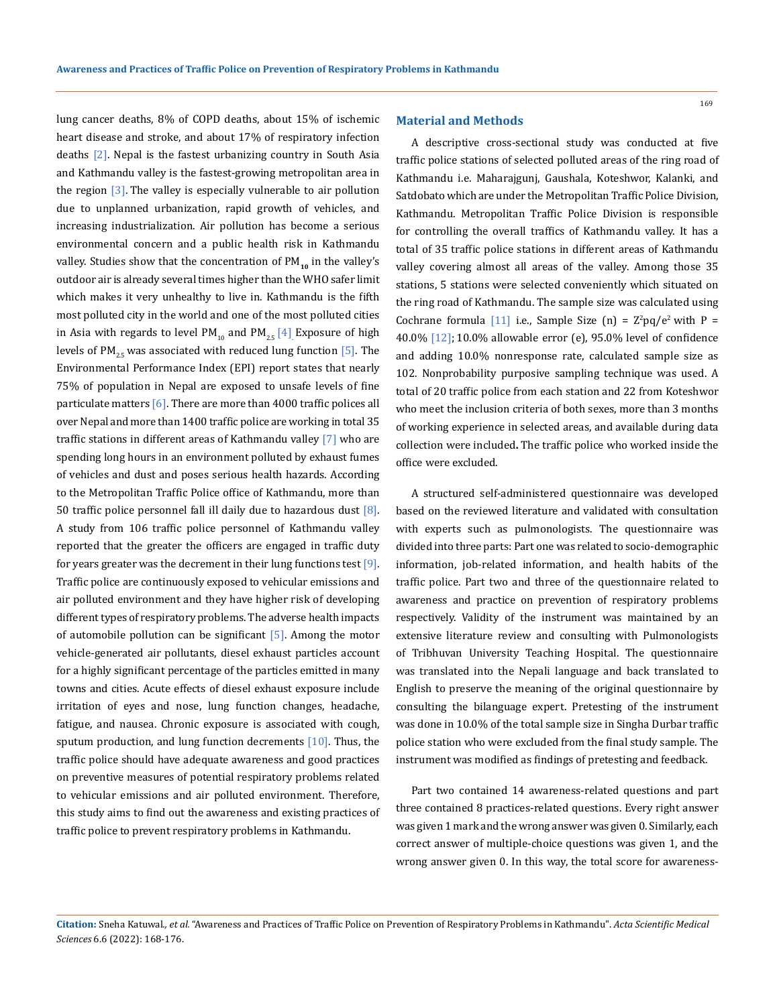lung cancer deaths, 8% of COPD deaths, about 15% of ischemic heart disease and stroke, and about 17% of respiratory infection deaths  $[2]$ . Nepal is the fastest urbanizing country in South Asia and Kathmandu valley is the fastest-growing metropolitan area in the region  $\lceil 3 \rceil$ . The valley is especially vulnerable to air pollution due to unplanned urbanization, rapid growth of vehicles, and increasing industrialization. Air pollution has become a serious environmental concern and a public health risk in Kathmandu valley. Studies show that the concentration of PM<sub>10</sub> in the valley's outdoor air is already several times higher than the WHO safer limit which makes it very unhealthy to live in. Kathmandu is the fifth most polluted city in the world and one of the most polluted cities in Asia with regards to level PM<sub>10</sub> and PM<sub>2.5</sub> [4] Exposure of high levels of PM<sub>2.5</sub> was associated with reduced lung function  $[5]$ . The Environmental Performance Index (EPI) report states that nearly 75% of population in Nepal are exposed to unsafe levels of fine particulate matters [6]. There are more than 4000 traffic polices all over Nepal and more than 1400 traffic police are working in total 35 traffic stations in different areas of Kathmandu valley [7] who are spending long hours in an environment polluted by exhaust fumes of vehicles and dust and poses serious health hazards. According to the Metropolitan Traffic Police office of Kathmandu, more than 50 traffic police personnel fall ill daily due to hazardous dust  $[8]$ . A study from 106 traffic police personnel of Kathmandu valley reported that the greater the officers are engaged in traffic duty for years greater was the decrement in their lung functions test  $[9]$ . Traffic police are continuously exposed to vehicular emissions and air polluted environment and they have higher risk of developing different types of respiratory problems. The adverse health impacts of automobile pollution can be significant [5]. Among the motor vehicle-generated air pollutants, diesel exhaust particles account for a highly significant percentage of the particles emitted in many towns and cities. Acute effects of diesel exhaust exposure include irritation of eyes and nose, lung function changes, headache, fatigue, and nausea. Chronic exposure is associated with cough, sputum production, and lung function decrements  $[10]$ . Thus, the traffic police should have adequate awareness and good practices on preventive measures of potential respiratory problems related to vehicular emissions and air polluted environment. Therefore, this study aims to find out the awareness and existing practices of traffic police to prevent respiratory problems in Kathmandu.

### **Material and Methods**

A descriptive cross-sectional study was conducted at five traffic police stations of selected polluted areas of the ring road of Kathmandu i.e. Maharajgunj, Gaushala, Koteshwor, Kalanki, and Satdobato which are under the Metropolitan Traffic Police Division, Kathmandu. Metropolitan Traffic Police Division is responsible for controlling the overall traffics of Kathmandu valley. It has a total of 35 traffic police stations in different areas of Kathmandu valley covering almost all areas of the valley. Among those 35 stations, 5 stations were selected conveniently which situated on the ring road of Kathmandu. The sample size was calculated using Cochrane formula  $[11]$  i.e., Sample Size  $(n) = Z^2pq/e^2$  with P = 40.0% [12]; 10.0% allowable error (e), 95.0% level of confidence and adding 10.0% nonresponse rate, calculated sample size as 102. Nonprobability purposive sampling technique was used. A total of 20 traffic police from each station and 22 from Koteshwor who meet the inclusion criteria of both sexes, more than 3 months of working experience in selected areas, and available during data collection were included**.** The traffic police who worked inside the office were excluded.

A structured self-administered questionnaire was developed based on the reviewed literature and validated with consultation with experts such as pulmonologists. The questionnaire was divided into three parts: Part one was related to socio-demographic information, job-related information, and health habits of the traffic police. Part two and three of the questionnaire related to awareness and practice on prevention of respiratory problems respectively. Validity of the instrument was maintained by an extensive literature review and consulting with Pulmonologists of Tribhuvan University Teaching Hospital. The questionnaire was translated into the Nepali language and back translated to English to preserve the meaning of the original questionnaire by consulting the bilanguage expert. Pretesting of the instrument was done in 10.0% of the total sample size in Singha Durbar traffic police station who were excluded from the final study sample. The instrument was modified as findings of pretesting and feedback.

Part two contained 14 awareness-related questions and part three contained 8 practices-related questions. Every right answer was given 1 mark and the wrong answer was given 0. Similarly, each correct answer of multiple-choice questions was given 1, and the wrong answer given 0. In this way, the total score for awareness-

**Citation:** Sneha Katuwal*., et al.* "Awareness and Practices of Traffic Police on Prevention of Respiratory Problems in Kathmandu". *Acta Scientific Medical Sciences* 6.6 (2022): 168-176.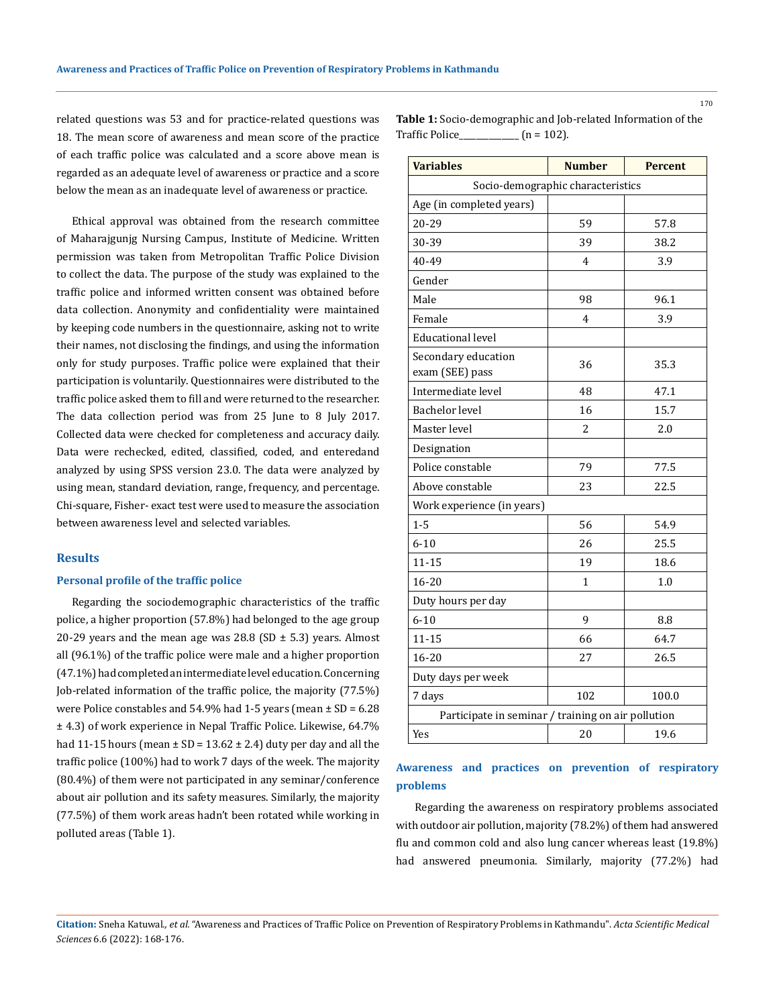related questions was 53 and for practice-related questions was 18. The mean score of awareness and mean score of the practice of each traffic police was calculated and a score above mean is regarded as an adequate level of awareness or practice and a score below the mean as an inadequate level of awareness or practice.

Ethical approval was obtained from the research committee of Maharajgunjg Nursing Campus, Institute of Medicine. Written permission was taken from Metropolitan Traffic Police Division to collect the data. The purpose of the study was explained to the traffic police and informed written consent was obtained before data collection. Anonymity and confidentiality were maintained by keeping code numbers in the questionnaire, asking not to write their names, not disclosing the findings, and using the information only for study purposes. Traffic police were explained that their participation is voluntarily. Questionnaires were distributed to the traffic police asked them to fill and were returned to the researcher. The data collection period was from 25 June to 8 July 2017. Collected data were checked for completeness and accuracy daily. Data were rechecked, edited, classified, coded, and enteredand analyzed by using SPSS version 23.0. The data were analyzed by using mean, standard deviation, range, frequency, and percentage. Chi-square, Fisher- exact test were used to measure the association between awareness level and selected variables.

## **Results**

### **Personal profile of the traffic police**

Regarding the sociodemographic characteristics of the traffic police, a higher proportion (57.8%) had belonged to the age group 20-29 years and the mean age was  $28.8$  (SD  $\pm$  5.3) years. Almost all (96.1%) of the traffic police were male and a higher proportion (47.1%) had completed an intermediate level education. Concerning Job-related information of the traffic police, the majority (77.5%) were Police constables and  $54.9\%$  had  $1-5$  years (mean  $\pm$  SD = 6.28 ± 4.3) of work experience in Nepal Traffic Police. Likewise, 64.7% had 11-15 hours (mean  $\pm$  SD = 13.62  $\pm$  2.4) duty per day and all the traffic police (100%) had to work 7 days of the week. The majority (80.4%) of them were not participated in any seminar/conference about air pollution and its safety measures. Similarly, the majority (77.5%) of them work areas hadn't been rotated while working in polluted areas (Table 1).

**Table 1:** Socio-demographic and Job-related Information of the Traffic Police  $(n = 102)$ .

| <b>Variables</b>                                   | <b>Number</b>                     | <b>Percent</b> |  |
|----------------------------------------------------|-----------------------------------|----------------|--|
|                                                    | Socio-demographic characteristics |                |  |
| Age (in completed years)                           |                                   |                |  |
| 20-29                                              | 59                                | 57.8           |  |
| 30-39                                              | 39                                | 38.2           |  |
| 40-49                                              | $\overline{4}$                    | 3.9            |  |
| Gender                                             |                                   |                |  |
| Male                                               | 98                                | 96.1           |  |
| Female                                             | 4                                 | 3.9            |  |
| <b>Educational level</b>                           |                                   |                |  |
| Secondary education<br>exam (SEE) pass             | 36                                | 35.3           |  |
| Intermediate level                                 | 48                                | 47.1           |  |
| <b>Bachelor</b> level                              | 16                                | 15.7           |  |
| Master level                                       | 2                                 | 2.0            |  |
| Designation                                        |                                   |                |  |
| Police constable                                   | 79                                | 77.5           |  |
| Above constable                                    | 23                                | 22.5           |  |
| Work experience (in years)                         |                                   |                |  |
| $1 - 5$                                            | 56                                | 54.9           |  |
| $6 - 10$                                           | 26                                | 25.5           |  |
| $11 - 15$                                          | 19                                | 18.6           |  |
| 16-20                                              | 1                                 | 1.0            |  |
| Duty hours per day                                 |                                   |                |  |
| $6 - 10$                                           | 9                                 | 8.8            |  |
| $11 - 15$                                          | 66                                | 64.7           |  |
| 16-20                                              | 27                                | 26.5           |  |
| Duty days per week                                 |                                   |                |  |
| 7 days                                             | 102                               | 100.0          |  |
| Participate in seminar / training on air pollution |                                   |                |  |
| Yes                                                | 20                                | 19.6           |  |

# **Awareness and practices on prevention of respiratory problems**

 Regarding the awareness on respiratory problems associated with outdoor air pollution, majority (78.2%) of them had answered flu and common cold and also lung cancer whereas least (19.8%) had answered pneumonia. Similarly, majority (77.2%) had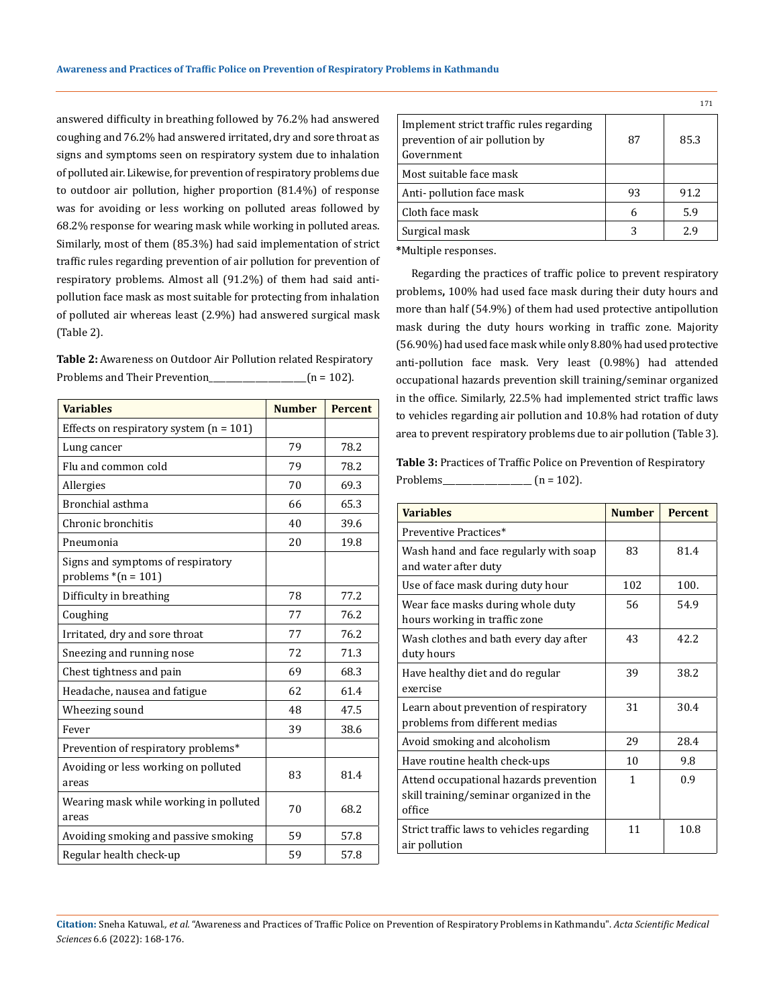answered difficulty in breathing followed by 76.2% had answered coughing and 76.2% had answered irritated, dry and sore throat as signs and symptoms seen on respiratory system due to inhalation of polluted air. Likewise, for prevention of respiratory problems due to outdoor air pollution, higher proportion (81.4%) of response was for avoiding or less working on polluted areas followed by 68.2% response for wearing mask while working in polluted areas. Similarly, most of them (85.3%) had said implementation of strict traffic rules regarding prevention of air pollution for prevention of respiratory problems. Almost all (91.2%) of them had said antipollution face mask as most suitable for protecting from inhalation of polluted air whereas least (2.9%) had answered surgical mask (Table 2).

**Table 2:** Awareness on Outdoor Air Pollution related Respiratory Problems and Their Prevention\_\_\_\_\_\_\_\_\_\_\_\_\_\_\_\_\_\_\_\_\_(n = 102).

| <b>Variables</b>                                           | <b>Number</b> | <b>Percent</b> |
|------------------------------------------------------------|---------------|----------------|
| Effects on respiratory system $(n = 101)$                  |               |                |
| Lung cancer                                                | 79            | 78.2           |
| Flu and common cold                                        | 79            | 78.2           |
| Allergies                                                  | 70            | 69.3           |
| Bronchial asthma                                           | 66            | 65.3           |
| Chronic bronchitis                                         | 40            | 39.6           |
| Pneumonia                                                  | 20            | 19.8           |
| Signs and symptoms of respiratory<br>problems $*(n = 101)$ |               |                |
| Difficulty in breathing                                    | 78            | 77.2           |
| Coughing                                                   | 77            | 76.2           |
| Irritated, dry and sore throat                             | 77            | 76.2           |
| Sneezing and running nose                                  | 72            | 71.3           |
| Chest tightness and pain                                   | 69            | 68.3           |
| Headache, nausea and fatigue                               | 62            | 61.4           |
| Wheezing sound                                             | 48            | 47.5           |
| Fever                                                      | 39            | 38.6           |
| Prevention of respiratory problems*                        |               |                |
| Avoiding or less working on polluted<br>areas              | 83            | 81.4           |
| Wearing mask while working in polluted<br>areas            | 70            | 68.2           |
| Avoiding smoking and passive smoking                       | 59            | 57.8           |
| Regular health check-up                                    | 59            | 57.8           |

|                                                                                          |    | 171  |
|------------------------------------------------------------------------------------------|----|------|
| Implement strict traffic rules regarding<br>prevention of air pollution by<br>Government | 87 | 85.3 |
| Most suitable face mask                                                                  |    |      |
| Anti- pollution face mask                                                                | 93 | 91.2 |
| Cloth face mask                                                                          |    | 5.9  |
| Surgical mask                                                                            |    | 2.9  |
|                                                                                          |    |      |

**\***Multiple responses.

Regarding the practices of traffic police to prevent respiratory problems**,** 100% had used face mask during their duty hours and more than half (54.9%) of them had used protective antipollution mask during the duty hours working in traffic zone. Majority (56.90%) had used face mask while only 8.80% had used protective anti-pollution face mask. Very least (0.98%) had attended occupational hazards prevention skill training/seminar organized in the office. Similarly, 22.5% had implemented strict traffic laws to vehicles regarding air pollution and 10.8% had rotation of duty area to prevent respiratory problems due to air pollution (Table 3).

**Table 3:** Practices of Traffic Police on Prevention of Respiratory Problems\_\_\_\_\_\_\_\_\_\_\_\_\_\_\_\_\_\_\_\_\_ (n = 102).

| <b>Variables</b>                                                                            | <b>Number</b> | <b>Percent</b> |
|---------------------------------------------------------------------------------------------|---------------|----------------|
| Preventive Practices*                                                                       |               |                |
| Wash hand and face regularly with soap<br>and water after duty                              | 83            | 81.4           |
| Use of face mask during duty hour                                                           | 102           | 100.           |
| Wear face masks during whole duty<br>hours working in traffic zone                          | 56            | 54.9           |
| Wash clothes and bath every day after<br>duty hours                                         | 43            | 42.2           |
| Have healthy diet and do regular<br>exercise                                                | 39            | 38.2           |
| Learn about prevention of respiratory<br>problems from different medias                     | 31            | 30.4           |
| Avoid smoking and alcoholism                                                                | 29            | 28.4           |
| Have routine health check-ups                                                               | 10            | 9.8            |
| Attend occupational hazards prevention<br>skill training/seminar organized in the<br>office | 1             | 0.9            |
| Strict traffic laws to vehicles regarding<br>air pollution                                  | 11            | 10.8           |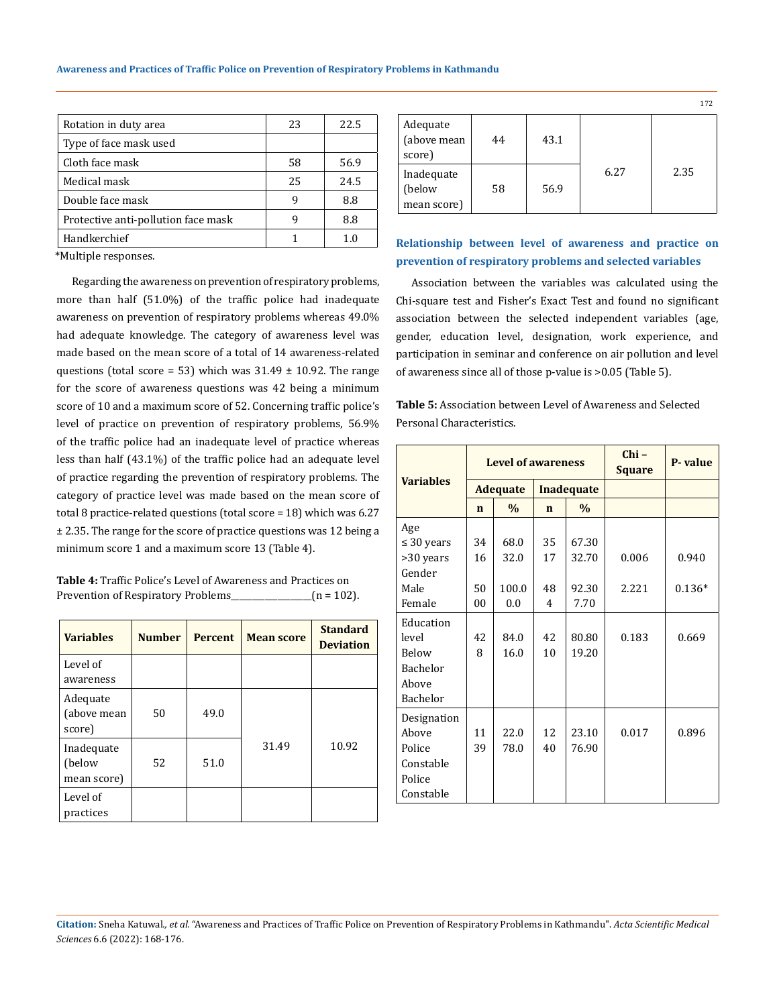| Rotation in duty area               | 23 | 22.5 |
|-------------------------------------|----|------|
| Type of face mask used              |    |      |
| Cloth face mask                     | 58 | 56.9 |
| Medical mask                        | 25 | 24.5 |
| Double face mask                    | q  | 8.8  |
| Protective anti-pollution face mask | q  | 8.8  |
| Handkerchief                        |    | 1.0  |

\*Multiple responses.

Regarding the awareness on prevention of respiratory problems, more than half (51.0%) of the traffic police had inadequate awareness on prevention of respiratory problems whereas 49.0% had adequate knowledge. The category of awareness level was made based on the mean score of a total of 14 awareness-related questions (total score = 53) which was  $31.49 \pm 10.92$ . The range for the score of awareness questions was 42 being a minimum score of 10 and a maximum score of 52. Concerning traffic police's level of practice on prevention of respiratory problems, 56.9% of the traffic police had an inadequate level of practice whereas less than half (43.1%) of the traffic police had an adequate level of practice regarding the prevention of respiratory problems. The category of practice level was made based on the mean score of total 8 practice-related questions (total score = 18) which was 6.27 ± 2.35. The range for the score of practice questions was 12 being a minimum score 1 and a maximum score 13 (Table 4).

| <b>Table 4:</b> Traffic Police's Level of Awareness and Practices on |               |
|----------------------------------------------------------------------|---------------|
| Prevention of Respiratory Problems                                   | $(n = 102)$ . |

| <b>Variables</b>                    | <b>Number</b> | <b>Percent</b> | <b>Mean score</b> | <b>Standard</b><br><b>Deviation</b> |
|-------------------------------------|---------------|----------------|-------------------|-------------------------------------|
| Level of<br>awareness               |               |                |                   |                                     |
| Adequate<br>(above mean<br>score)   | 50            | 49.0           |                   |                                     |
| Inadequate<br>(below<br>mean score) | 52            | 51.0           | 31.49             | 10.92                               |
| Level of<br>practices               |               |                |                   |                                     |

|                                     |    |      |      | 172  |
|-------------------------------------|----|------|------|------|
| Adequate<br>(above mean<br>score)   | 44 | 43.1 |      |      |
| Inadequate<br>(below<br>mean score) | 58 | 56.9 | 6.27 | 2.35 |

# **Relationship between level of awareness and practice on prevention of respiratory problems and selected variables**

Association between the variables was calculated using the Chi-square test and Fisher's Exact Test and found no significant association between the selected independent variables (age, gender, education level, designation, work experience, and participation in seminar and conference on air pollution and level of awareness since all of those p-value is >0.05 (Table 5).

**Table 5:** Association between Level of Awareness and Selected Personal Characteristics.

|                  | <b>Level of awareness</b> |                 |             |                   | $Chi -$<br><b>Square</b> | P-value  |
|------------------|---------------------------|-----------------|-------------|-------------------|--------------------------|----------|
| <b>Variables</b> |                           | <b>Adequate</b> |             | <b>Inadequate</b> |                          |          |
|                  | $\mathbf n$               | $\frac{0}{0}$   | $\mathbf n$ | $\frac{0}{0}$     |                          |          |
| Age              |                           |                 |             |                   |                          |          |
| $\leq 30$ years  | 34                        | 68.0            | 35          | 67.30             |                          |          |
| >30 years        | 16                        | 32.0            | 17          | 32.70             | 0.006                    | 0.940    |
| Gender           |                           |                 |             |                   |                          |          |
| Male             | 50                        | 100.0           | 48          | 92.30             | 2.221                    | $0.136*$ |
| Female           | 0 <sub>0</sub>            | 0.0             | 4           | 7.70              |                          |          |
| Education        |                           |                 |             |                   |                          |          |
| level            | 42                        | 84.0            | 42          | 80.80             | 0.183                    | 0.669    |
| Below            | 8                         | 16.0            | 10          | 19.20             |                          |          |
| <b>Bachelor</b>  |                           |                 |             |                   |                          |          |
| Above            |                           |                 |             |                   |                          |          |
| Bachelor         |                           |                 |             |                   |                          |          |
| Designation      |                           |                 |             |                   |                          |          |
| Above            | 11                        | 22.0            | 12          | 23.10             | 0.017                    | 0.896    |
| Police           | 39                        | 78.0            | 40          | 76.90             |                          |          |
| Constable        |                           |                 |             |                   |                          |          |
| Police           |                           |                 |             |                   |                          |          |
| Constable        |                           |                 |             |                   |                          |          |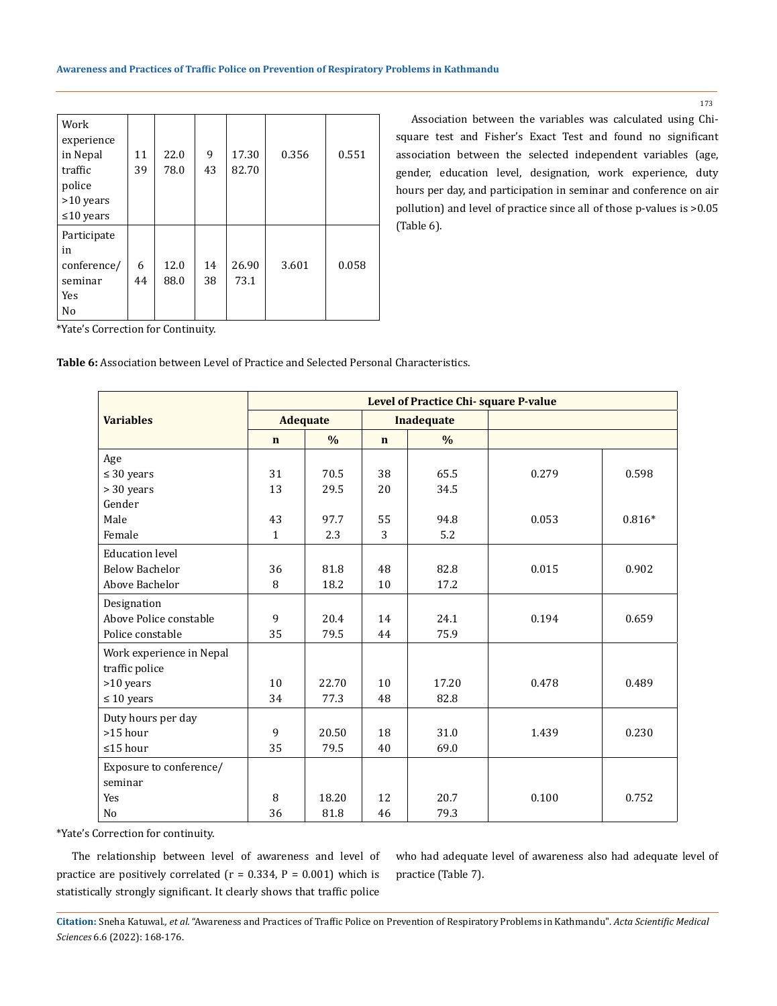| Work<br>experience |    |      |    |       |       |       |
|--------------------|----|------|----|-------|-------|-------|
| in Nepal           | 11 | 22.0 | 9  | 17.30 | 0.356 | 0.551 |
| traffic            | 39 | 78.0 | 43 | 82.70 |       |       |
| police             |    |      |    |       |       |       |
| >10 years          |    |      |    |       |       |       |
| $\leq 10$ years    |    |      |    |       |       |       |
| Participate        |    |      |    |       |       |       |
| in                 |    |      |    |       |       |       |
| conference/        | 6  | 12.0 | 14 | 26.90 | 3.601 | 0.058 |
| seminar            | 44 | 88.0 | 38 | 73.1  |       |       |
| Yes                |    |      |    |       |       |       |
| No                 |    |      |    |       |       |       |

Association between the variables was calculated using Chisquare test and Fisher's Exact Test and found no significant association between the selected independent variables (age, gender, education level, designation, work experience, duty hours per day, and participation in seminar and conference on air pollution) and level of practice since all of those p-values is >0.05 (Table 6).

\*Yate's Correction for Continuity.

**Table 6:** Association between Level of Practice and Selected Personal Characteristics.

|                          | Level of Practice Chi-square P-value |                 |             |                   |       |          |  |
|--------------------------|--------------------------------------|-----------------|-------------|-------------------|-------|----------|--|
| <b>Variables</b>         |                                      | <b>Adequate</b> |             | <b>Inadequate</b> |       |          |  |
|                          | $\mathbf n$                          | $\frac{0}{0}$   | $\mathbf n$ | $\frac{0}{0}$     |       |          |  |
| Age                      |                                      |                 |             |                   |       |          |  |
| $\leq 30$ years          | 31                                   | 70.5            | 38          | 65.5              | 0.279 | 0.598    |  |
| > 30 years               | 13                                   | 29.5            | 20          | 34.5              |       |          |  |
| Gender                   |                                      |                 |             |                   |       |          |  |
| Male                     | 43                                   | 97.7            | 55          | 94.8              | 0.053 | $0.816*$ |  |
| Female                   | $\mathbf{1}$                         | 2.3             | 3           | 5.2               |       |          |  |
| <b>Education level</b>   |                                      |                 |             |                   |       |          |  |
| <b>Below Bachelor</b>    | 36                                   | 81.8            | 48          | 82.8              | 0.015 | 0.902    |  |
| Above Bachelor           | 8                                    | 18.2            | 10          | 17.2              |       |          |  |
| Designation              |                                      |                 |             |                   |       |          |  |
| Above Police constable   | 9                                    | 20.4            | 14          | 24.1              | 0.194 | 0.659    |  |
| Police constable         | 35                                   | 79.5            | 44          | 75.9              |       |          |  |
| Work experience in Nepal |                                      |                 |             |                   |       |          |  |
| traffic police           |                                      |                 |             |                   |       |          |  |
| >10 years                | 10                                   | 22.70           | 10          | 17.20             | 0.478 | 0.489    |  |
| $\leq 10$ years          | 34                                   | 77.3            | 48          | 82.8              |       |          |  |
| Duty hours per day       |                                      |                 |             |                   |       |          |  |
| >15 hour                 | 9                                    | 20.50           | 18          | 31.0              | 1.439 | 0.230    |  |
| ≤15 hour                 | 35                                   | 79.5            | 40          | 69.0              |       |          |  |
| Exposure to conference/  |                                      |                 |             |                   |       |          |  |
| seminar                  |                                      |                 |             |                   |       |          |  |
| <b>Yes</b>               | 8                                    | 18.20           | 12          | 20.7              | 0.100 | 0.752    |  |
| No                       | 36                                   | 81.8            | 46          | 79.3              |       |          |  |

\*Yate's Correction for continuity.

The relationship between level of awareness and level of practice are positively correlated ( $r = 0.334$ ,  $P = 0.001$ ) which is statistically strongly significant. It clearly shows that traffic police

who had adequate level of awareness also had adequate level of practice (Table 7).

**Citation:** Sneha Katuwal*., et al.* "Awareness and Practices of Traffic Police on Prevention of Respiratory Problems in Kathmandu". *Acta Scientific Medical Sciences* 6.6 (2022): 168-176.

173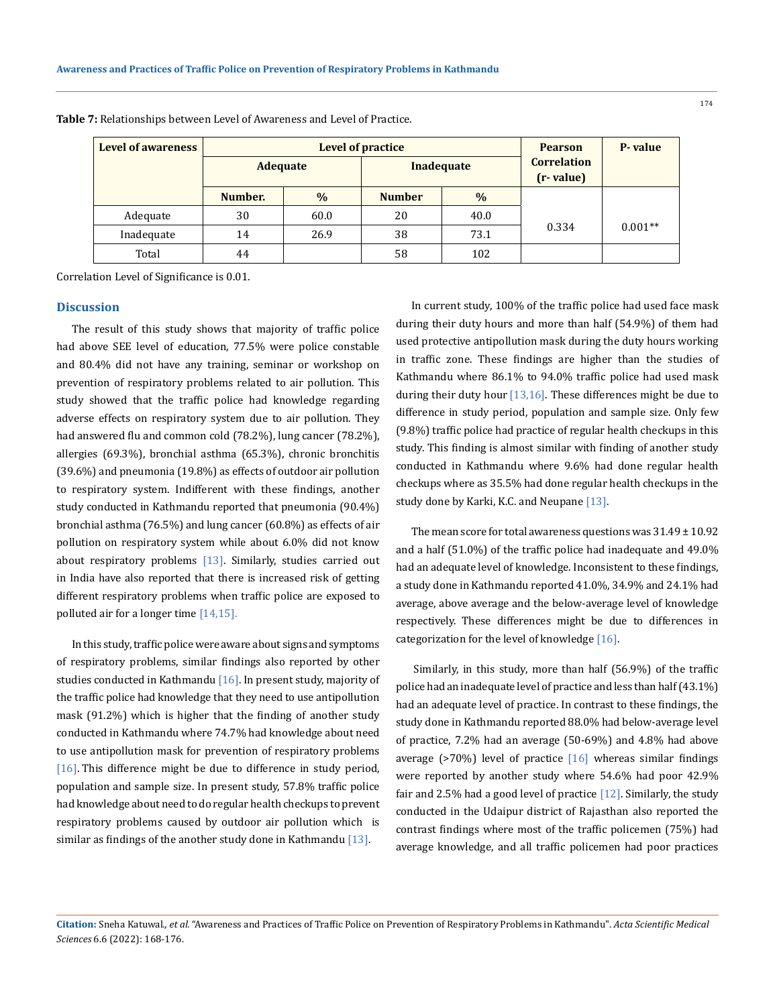| <b>Level of awareness</b> |                 | <b>Level of practice</b> | <b>Pearson</b> | P-value           |                                 |           |
|---------------------------|-----------------|--------------------------|----------------|-------------------|---------------------------------|-----------|
|                           | <b>Adequate</b> |                          |                | <b>Inadequate</b> | <b>Correlation</b><br>(r-value) |           |
|                           | Number.         | $\frac{0}{0}$            | <b>Number</b>  | $\frac{0}{0}$     |                                 |           |
| Adequate                  | 30              | 60.0                     | 20             | 40.0              |                                 |           |
| Inadequate                | 14              | 26.9                     | 38             | 73.1              | 0.334                           | $0.001**$ |
| Total                     | 44              |                          | 58             | 102               |                                 |           |

**Table 7:** Relationships between Level of Awareness and Level of Practice.

Correlation Level of Significance is 0.01.

### **Discussion**

The result of this study shows that majority of traffic police had above SEE level of education, 77.5% were police constable and 80.4% did not have any training, seminar or workshop on prevention of respiratory problems related to air pollution. This study showed that the traffic police had knowledge regarding adverse effects on respiratory system due to air pollution. They had answered flu and common cold (78.2%), lung cancer (78.2%), allergies (69.3%), bronchial asthma (65.3%), chronic bronchitis (39.6%) and pneumonia (19.8%) as effects of outdoor air pollution to respiratory system. Indifferent with these findings, another study conducted in Kathmandu reported that pneumonia (90.4%) bronchial asthma (76.5%) and lung cancer (60.8%) as effects of air pollution on respiratory system while about 6.0% did not know about respiratory problems [13]. Similarly, studies carried out in India have also reported that there is increased risk of getting different respiratory problems when traffic police are exposed to polluted air for a longer time [14,15].

In this study, traffic police were aware about signs and symptoms of respiratory problems, similar findings also reported by other studies conducted in Kathmandu  $[16]$ . In present study, majority of the traffic police had knowledge that they need to use antipollution mask (91.2%) which is higher that the finding of another study conducted in Kathmandu where 74.7% had knowledge about need to use antipollution mask for prevention of respiratory problems [16]. This difference might be due to difference in study period, population and sample size. In present study, 57.8% traffic police had knowledge about need to do regular health checkups to prevent respiratory problems caused by outdoor air pollution which is similar as findings of the another study done in Kathmandu  $[13]$ .

In current study, 100% of the traffic police had used face mask during their duty hours and more than half (54.9%) of them had used protective antipollution mask during the duty hours working in traffic zone. These findings are higher than the studies of Kathmandu where 86.1% to 94.0% traffic police had used mask during their duty hour [13,16]. These differences might be due to difference in study period, population and sample size. Only few (9.8%) traffic police had practice of regular health checkups in this study. This finding is almost similar with finding of another study conducted in Kathmandu where 9.6% had done regular health checkups where as 35.5% had done regular health checkups in the study done by Karki, K.C. and Neupane [13].

The mean score for total awareness questions was  $31.49 \pm 10.92$ and a half (51.0%) of the traffic police had inadequate and 49.0% had an adequate level of knowledge. Inconsistent to these findings, a study done in Kathmandu reported 41.0%, 34.9% and 24.1% had average, above average and the below-average level of knowledge respectively. These differences might be due to differences in categorization for the level of knowledge [16].

Similarly, in this study, more than half (56.9%) of the traffic police had an inadequate level of practice and less than half (43.1%) had an adequate level of practice. In contrast to these findings, the study done in Kathmandu reported 88.0% had below-average level of practice, 7.2% had an average (50-69%) and 4.8% had above average ( $>70\%$ ) level of practice [16] whereas similar findings were reported by another study where 54.6% had poor 42.9% fair and 2.5% had a good level of practice  $[12]$ . Similarly, the study conducted in the Udaipur district of Rajasthan also reported the contrast findings where most of the traffic policemen (75%) had average knowledge, and all traffic policemen had poor practices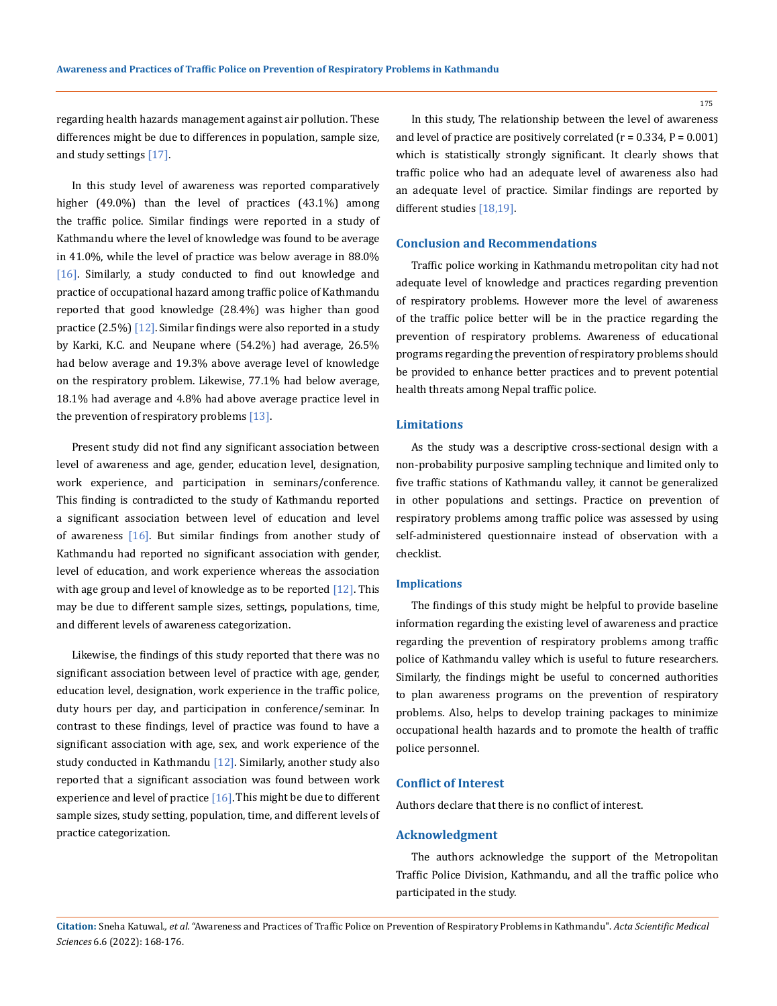175

regarding health hazards management against air pollution. These differences might be due to differences in population, sample size, and study settings [17].

In this study level of awareness was reported comparatively higher (49.0%) than the level of practices (43.1%) among the traffic police. Similar findings were reported in a study of Kathmandu where the level of knowledge was found to be average in 41.0%, while the level of practice was below average in 88.0% [16]. Similarly, a study conducted to find out knowledge and practice of occupational hazard among traffic police of Kathmandu reported that good knowledge (28.4%) was higher than good practice (2.5%) [12]. Similar findings were also reported in a study by Karki, K.C. and Neupane where (54.2%) had average, 26.5% had below average and 19.3% above average level of knowledge on the respiratory problem. Likewise, 77.1% had below average, 18.1% had average and 4.8% had above average practice level in the prevention of respiratory problems [13].

Present study did not find any significant association between level of awareness and age, gender, education level, designation, work experience, and participation in seminars/conference. This finding is contradicted to the study of Kathmandu reported a significant association between level of education and level of awareness  $[16]$ . But similar findings from another study of Kathmandu had reported no significant association with gender, level of education, and work experience whereas the association with age group and level of knowledge as to be reported  $[12]$ . This may be due to different sample sizes, settings, populations, time, and different levels of awareness categorization.

Likewise, the findings of this study reported that there was no significant association between level of practice with age, gender, education level, designation, work experience in the traffic police, duty hours per day, and participation in conference/seminar. In contrast to these findings, level of practice was found to have a significant association with age, sex, and work experience of the study conducted in Kathmandu [12]. Similarly, another study also reported that a significant association was found between work experience and level of practice  $[16]$ . This might be due to different sample sizes, study setting, population, time, and different levels of practice categorization.

In this study, The relationship between the level of awareness and level of practice are positively correlated  $(r = 0.334, P = 0.001)$ which is statistically strongly significant. It clearly shows that traffic police who had an adequate level of awareness also had an adequate level of practice. Similar findings are reported by different studies [18,19].

## **Conclusion and Recommendations**

Traffic police working in Kathmandu metropolitan city had not adequate level of knowledge and practices regarding prevention of respiratory problems. However more the level of awareness of the traffic police better will be in the practice regarding the prevention of respiratory problems. Awareness of educational programs regarding the prevention of respiratory problems should be provided to enhance better practices and to prevent potential health threats among Nepal traffic police.

### **Limitations**

As the study was a descriptive cross-sectional design with a non-probability purposive sampling technique and limited only to five traffic stations of Kathmandu valley, it cannot be generalized in other populations and settings. Practice on prevention of respiratory problems among traffic police was assessed by using self-administered questionnaire instead of observation with a checklist.

#### **Implications**

The findings of this study might be helpful to provide baseline information regarding the existing level of awareness and practice regarding the prevention of respiratory problems among traffic police of Kathmandu valley which is useful to future researchers. Similarly, the findings might be useful to concerned authorities to plan awareness programs on the prevention of respiratory problems. Also, helps to develop training packages to minimize occupational health hazards and to promote the health of traffic police personnel.

#### **Conflict of Interest**

Authors declare that there is no conflict of interest.

### **Acknowledgment**

The authors acknowledge the support of the Metropolitan Traffic Police Division, Kathmandu, and all the traffic police who participated in the study.

**Citation:** Sneha Katuwal*., et al.* "Awareness and Practices of Traffic Police on Prevention of Respiratory Problems in Kathmandu". *Acta Scientific Medical Sciences* 6.6 (2022): 168-176.